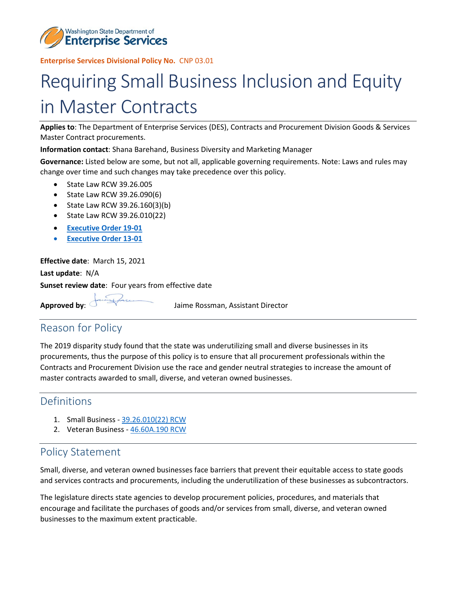

 **Enterprise Services Divisional Policy No.** CNP 03.01

# in Master Contracts Requiring Small Business Inclusion and Equity

**Applies to**: The Department of Enterprise Services (DES), Contracts and Procurement Division Goods & Services Master Contract procurements.

**Information contact**: Shana Barehand, Business Diversity and Marketing Manager

 **Governance:** Listed below are some, but not all, applicable governing requirements. Note: Laws and rules may change over time and such changes may take precedence over this policy.

- State Law RCW 39.26.005
- State Law RCW 39.26.090(6)
- State Law RCW 39.26.160(3)(b)
- State Law RCW 39.26.010(22)
- **[Executive Order 19-01](https://www.governor.wa.gov/sites/default/files/exe_order/19-01_VeteranAndMilitaryFamily%20.pdf)**
- **[Executive Order 13-01](https://www.governor.wa.gov/sites/default/files/exe_order/eo_13-01.pdf)**

 **Effective date**: March 15, 2021 **Last update**: N/A **Sunset review date**: Four years from effective date

**Approved by**: Jaime Rossman, Assistant Director

## Reason for Policy

 procurements, thus the purpose of this policy is to ensure that all procurement professionals within the The 2019 disparity study found that the state was underutilizing small and diverse businesses in its Contracts and Procurement Division use the race and gender neutral strategies to increase the amount of master contracts awarded to small, diverse, and veteran owned businesses.

#### Definitions

- 1. Small Business [39.26.010\(22\) RCW](https://app.leg.wa.gov/RCW/default.aspx?cite=39.26.010)
- 2. Veteran Business [46.60A.190 RCW](https://app.leg.wa.gov/RCW/default.aspx?cite=43.60A.190)

#### Policy Statement

 and services contracts and procurements, including the underutilization of these businesses as subcontractors. Small, diverse, and veteran owned businesses face barriers that prevent their equitable access to state goods

The legislature directs state agencies to develop procurement policies, procedures, and materials that encourage and facilitate the purchases of goods and/or services from small, diverse, and veteran owned businesses to the maximum extent practicable.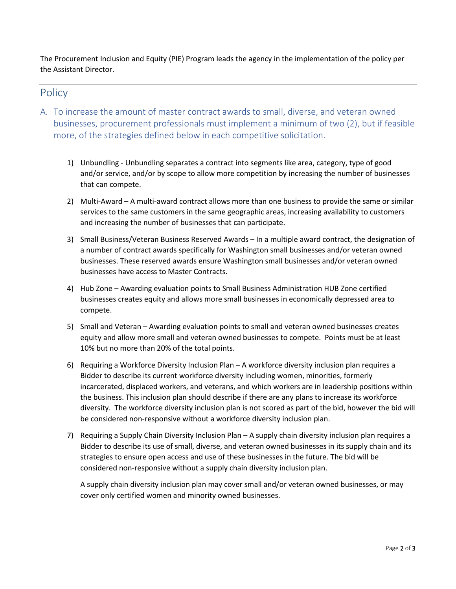The Procurement Inclusion and Equity (PIE) Program leads the agency in the implementation of the policy per the Assistant Director.

### **Policy**

- A. To increase the amount of master contract awards to small, diverse, and veteran owned businesses, procurement professionals must implement a minimum of two (2), but if feasible more, of the strategies defined below in each competitive solicitation.
	- and/or service, and/or by scope to allow more competition by increasing the number of businesses 1) Unbundling - Unbundling separates a contract into segments like area, category, type of good that can compete.
	- 2) Multi-Award A multi-award contract allows more than one business to provide the same or similar services to the same customers in the same geographic areas, increasing availability to customers and increasing the number of businesses that can participate.
	- a number of contract awards specifically for Washington small businesses and/or veteran owned businesses. These reserved awards ensure Washington small businesses and/or veteran owned 3) Small Business/Veteran Business Reserved Awards – In a multiple award contract, the designation of businesses have access to Master Contracts.
	- 4) Hub Zone Awarding evaluation points to Small Business Administration HUB Zone certified businesses creates equity and allows more small businesses in economically depressed area to compete.
	- equity and allow more small and veteran owned businesses to compete. Points must be at least 10% but no more than 20% of the total points. 5) Small and Veteran – Awarding evaluation points to small and veteran owned businesses creates
	- 6) Requiring a Workforce Diversity Inclusion Plan A workforce diversity inclusion plan requires a the business. This inclusion plan should describe if there are any plans to increase its workforce diversity. The workforce diversity inclusion plan is not scored as part of the bid, however the bid will Bidder to describe its current workforce diversity including women, minorities, formerly incarcerated, displaced workers, and veterans, and which workers are in leadership positions within be considered non-responsive without a workforce diversity inclusion plan.
	- 7) Requiring a Supply Chain Diversity Inclusion Plan A supply chain diversity inclusion plan requires a considered non-responsive without a supply chain diversity inclusion plan. Bidder to describe its use of small, diverse, and veteran owned businesses in its supply chain and its strategies to ensure open access and use of these businesses in the future. The bid will be

A supply chain diversity inclusion plan may cover small and/or veteran owned businesses, or may cover only certified women and minority owned businesses.